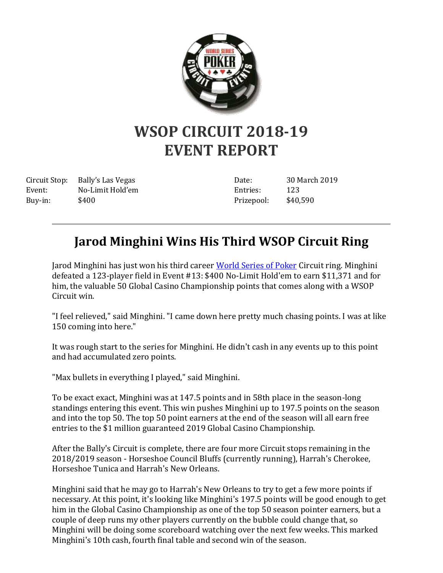

## **WSOP CIRCUIT 2018-19 EVENT REPORT**

Buy-in: \$400

Circuit Stop: Bally's Las Vegas Event: No-Limit Hold'em Date: 30 March 2019 Entries: 123 Prizepool: \$40,590

## **Jarod Minghini Wins His Third WSOP Circuit Ring**

Jarod Minghini has just won his third career [World Series of Poker](http://www.wsop.com/) Circuit ring. Minghini defeated a 123-player field in Event #13: \$400 No-Limit Hold'em to earn \$11,371 and for him, the valuable 50 Global Casino Championship points that comes along with a WSOP Circuit win.

"I feel relieved," said Minghini. "I came down here pretty much chasing points. I was at like 150 coming into here."

It was rough start to the series for Minghini. He didn't cash in any events up to this point and had accumulated zero points.

"Max bullets in everything I played," said Minghini.

To be exact exact, Minghini was at 147.5 points and in 58th place in the season-long standings entering this event. This win pushes Minghini up to 197.5 points on the season and into the top 50. The top 50 point earners at the end of the season will all earn free entries to the \$1 million guaranteed 2019 Global Casino Championship.

After the Bally's Circuit is complete, there are four more Circuit stops remaining in the 2018/2019 season - Horseshoe Council Bluffs (currently running), Harrah's Cherokee, Horseshoe Tunica and Harrah's New Orleans.

Minghini said that he may go to Harrah's New Orleans to try to get a few more points if necessary. At this point, it's looking like Minghini's 197.5 points will be good enough to get him in the Global Casino Championship as one of the top 50 season pointer earners, but a couple of deep runs my other players currently on the bubble could change that, so Minghini will be doing some scoreboard watching over the next few weeks. This marked Minghini's 10th cash, fourth final table and second win of the season.